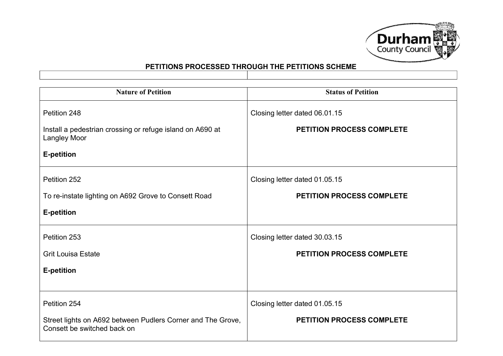

| <b>Nature of Petition</b>                                                                  | <b>Status of Petition</b>        |
|--------------------------------------------------------------------------------------------|----------------------------------|
| Petition 248                                                                               | Closing letter dated 06.01.15    |
| Install a pedestrian crossing or refuge island on A690 at<br><b>Langley Moor</b>           | <b>PETITION PROCESS COMPLETE</b> |
| <b>E-petition</b>                                                                          |                                  |
| Petition 252                                                                               | Closing letter dated 01.05.15    |
| To re-instate lighting on A692 Grove to Consett Road                                       | <b>PETITION PROCESS COMPLETE</b> |
| <b>E-petition</b>                                                                          |                                  |
| Petition 253                                                                               | Closing letter dated 30.03.15    |
| <b>Grit Louisa Estate</b>                                                                  | <b>PETITION PROCESS COMPLETE</b> |
| <b>E-petition</b>                                                                          |                                  |
|                                                                                            |                                  |
| Petition 254                                                                               | Closing letter dated 01.05.15    |
| Street lights on A692 between Pudlers Corner and The Grove,<br>Consett be switched back on | <b>PETITION PROCESS COMPLETE</b> |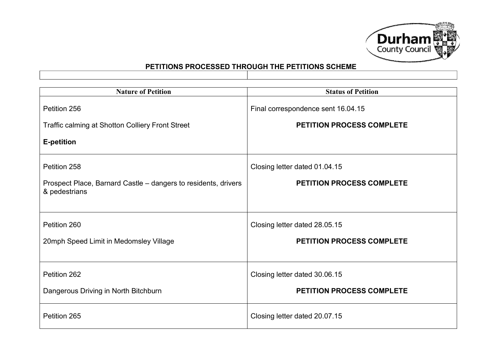

| <b>Nature of Petition</b>                                                       | <b>Status of Petition</b>          |
|---------------------------------------------------------------------------------|------------------------------------|
| Petition 256                                                                    | Final correspondence sent 16.04.15 |
| Traffic calming at Shotton Colliery Front Street                                | <b>PETITION PROCESS COMPLETE</b>   |
| <b>E-petition</b>                                                               |                                    |
| Petition 258                                                                    | Closing letter dated 01.04.15      |
| Prospect Place, Barnard Castle – dangers to residents, drivers<br>& pedestrians | <b>PETITION PROCESS COMPLETE</b>   |
| Petition 260                                                                    | Closing letter dated 28.05.15      |
| 20mph Speed Limit in Medomsley Village                                          | <b>PETITION PROCESS COMPLETE</b>   |
| Petition 262                                                                    | Closing letter dated 30.06.15      |
| Dangerous Driving in North Bitchburn                                            | PETITION PROCESS COMPLETE          |
| Petition 265                                                                    | Closing letter dated 20.07.15      |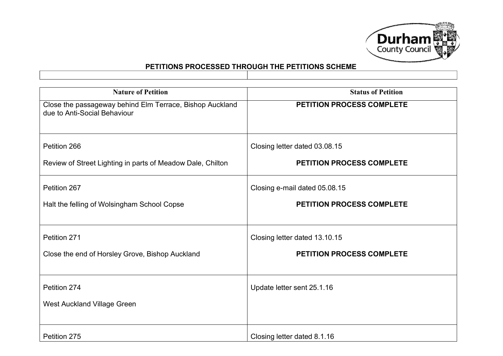

| <b>Nature of Petition</b>                                                                | <b>Status of Petition</b>        |
|------------------------------------------------------------------------------------------|----------------------------------|
| Close the passageway behind Elm Terrace, Bishop Auckland<br>due to Anti-Social Behaviour | <b>PETITION PROCESS COMPLETE</b> |
| Petition 266                                                                             | Closing letter dated 03.08.15    |
| Review of Street Lighting in parts of Meadow Dale, Chilton                               | <b>PETITION PROCESS COMPLETE</b> |
| Petition 267                                                                             | Closing e-mail dated 05.08.15    |
| Halt the felling of Wolsingham School Copse                                              | <b>PETITION PROCESS COMPLETE</b> |
| Petition 271                                                                             | Closing letter dated 13.10.15    |
| Close the end of Horsley Grove, Bishop Auckland                                          | <b>PETITION PROCESS COMPLETE</b> |
| Petition 274                                                                             | Update letter sent 25.1.16       |
| <b>West Auckland Village Green</b>                                                       |                                  |
| Petition 275                                                                             | Closing letter dated 8.1.16      |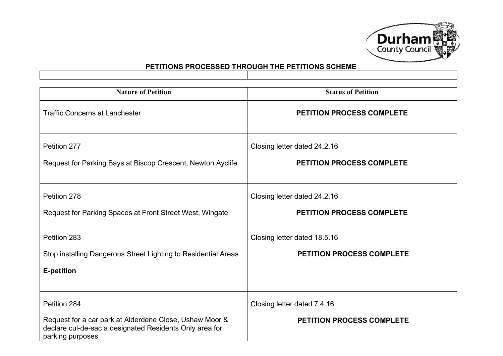

| <b>Nature of Petition</b>                                                                                                              | <b>Status of Petition</b>                                        |
|----------------------------------------------------------------------------------------------------------------------------------------|------------------------------------------------------------------|
| <b>Traffic Concerns at Lanchester</b>                                                                                                  | <b>PETITION PROCESS COMPLETE</b>                                 |
| Petition 277<br>Request for Parking Bays at Biscop Crescent, Newton Ayclife                                                            | Closing letter dated 24.2.16<br><b>PETITION PROCESS COMPLETE</b> |
|                                                                                                                                        |                                                                  |
| Petition 278                                                                                                                           | Closing letter dated 24.2.16                                     |
| Request for Parking Spaces at Front Street West, Wingate                                                                               | <b>PETITION PROCESS COMPLETE</b>                                 |
| Petition 283                                                                                                                           | Closing letter dated 18.5.16                                     |
| Stop installing Dangerous Street Lighting to Residential Areas                                                                         | <b>PETITION PROCESS COMPLETE</b>                                 |
| <b>E-petition</b>                                                                                                                      |                                                                  |
|                                                                                                                                        |                                                                  |
| Petition 284                                                                                                                           | Closing letter dated 7.4.16                                      |
| Request for a car park at Alderdene Close, Ushaw Moor &<br>declare cul-de-sac a designated Residents Only area for<br>parking purposes | <b>PETITION PROCESS COMPLETE</b>                                 |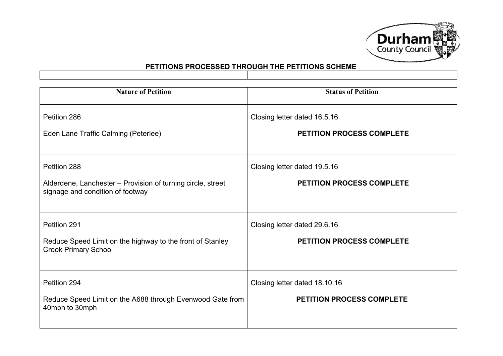

| <b>Nature of Petition</b>                                                                       | <b>Status of Petition</b>        |
|-------------------------------------------------------------------------------------------------|----------------------------------|
| Petition 286                                                                                    | Closing letter dated 16.5.16     |
| Eden Lane Traffic Calming (Peterlee)                                                            | <b>PETITION PROCESS COMPLETE</b> |
| Petition 288                                                                                    | Closing letter dated 19.5.16     |
| Alderdene, Lanchester – Provision of turning circle, street<br>signage and condition of footway | <b>PETITION PROCESS COMPLETE</b> |
| Petition 291                                                                                    | Closing letter dated 29.6.16     |
| Reduce Speed Limit on the highway to the front of Stanley<br><b>Crook Primary School</b>        | <b>PETITION PROCESS COMPLETE</b> |
| Petition 294                                                                                    | Closing letter dated 18.10.16    |
| Reduce Speed Limit on the A688 through Evenwood Gate from<br>40mph to 30mph                     | <b>PETITION PROCESS COMPLETE</b> |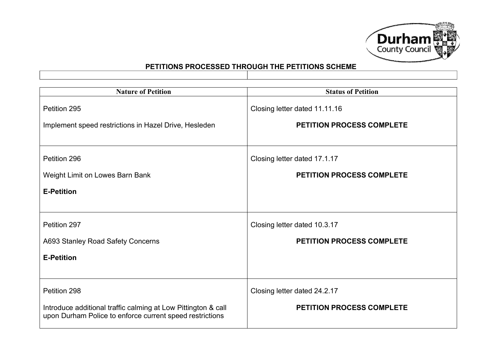

| <b>Nature of Petition</b>                                                                                                 | <b>Status of Petition</b>        |
|---------------------------------------------------------------------------------------------------------------------------|----------------------------------|
| Petition 295                                                                                                              | Closing letter dated 11.11.16    |
| Implement speed restrictions in Hazel Drive, Hesleden                                                                     | <b>PETITION PROCESS COMPLETE</b> |
|                                                                                                                           |                                  |
| Petition 296                                                                                                              | Closing letter dated 17.1.17     |
| Weight Limit on Lowes Barn Bank                                                                                           | <b>PETITION PROCESS COMPLETE</b> |
| <b>E-Petition</b>                                                                                                         |                                  |
|                                                                                                                           |                                  |
| Petition 297                                                                                                              | Closing letter dated 10.3.17     |
| A693 Stanley Road Safety Concerns                                                                                         | <b>PETITION PROCESS COMPLETE</b> |
| <b>E-Petition</b>                                                                                                         |                                  |
|                                                                                                                           |                                  |
| Petition 298                                                                                                              | Closing letter dated 24.2.17     |
| Introduce additional traffic calming at Low Pittington & call<br>upon Durham Police to enforce current speed restrictions | <b>PETITION PROCESS COMPLETE</b> |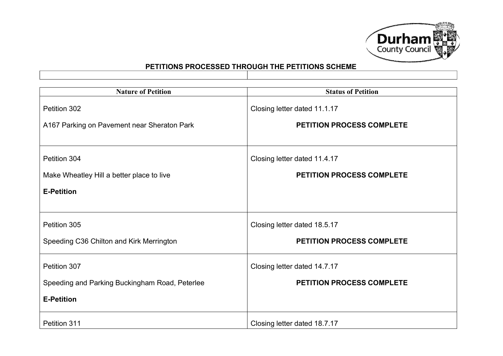

| <b>Nature of Petition</b>                      | <b>Status of Petition</b>        |
|------------------------------------------------|----------------------------------|
| Petition 302                                   | Closing letter dated 11.1.17     |
| A167 Parking on Pavement near Sheraton Park    | <b>PETITION PROCESS COMPLETE</b> |
|                                                |                                  |
| Petition 304                                   | Closing letter dated 11.4.17     |
| Make Wheatley Hill a better place to live      | <b>PETITION PROCESS COMPLETE</b> |
| <b>E-Petition</b>                              |                                  |
|                                                |                                  |
| Petition 305                                   | Closing letter dated 18.5.17     |
| Speeding C36 Chilton and Kirk Merrington       | PETITION PROCESS COMPLETE        |
| Petition 307                                   | Closing letter dated 14.7.17     |
| Speeding and Parking Buckingham Road, Peterlee | <b>PETITION PROCESS COMPLETE</b> |
| <b>E-Petition</b>                              |                                  |
| Petition 311                                   | Closing letter dated 18.7.17     |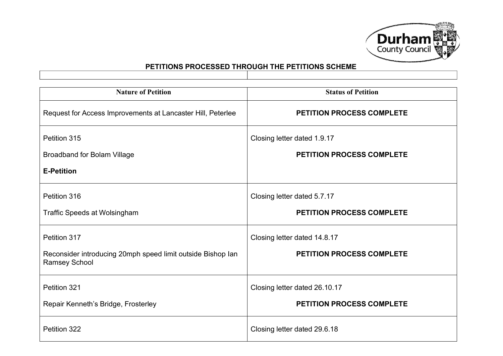

| <b>Nature of Petition</b>                                                           | <b>Status of Petition</b>        |
|-------------------------------------------------------------------------------------|----------------------------------|
| Request for Access Improvements at Lancaster Hill, Peterlee                         | <b>PETITION PROCESS COMPLETE</b> |
| Petition 315                                                                        | Closing letter dated 1.9.17      |
| <b>Broadband for Bolam Village</b>                                                  | <b>PETITION PROCESS COMPLETE</b> |
| <b>E-Petition</b>                                                                   |                                  |
| Petition 316                                                                        | Closing letter dated 5.7.17      |
| <b>Traffic Speeds at Wolsingham</b>                                                 | PETITION PROCESS COMPLETE        |
| Petition 317                                                                        | Closing letter dated 14.8.17     |
| Reconsider introducing 20mph speed limit outside Bishop lan<br><b>Ramsey School</b> | PETITION PROCESS COMPLETE        |
| Petition 321                                                                        | Closing letter dated 26.10.17    |
| Repair Kenneth's Bridge, Frosterley                                                 | PETITION PROCESS COMPLETE        |
| Petition 322                                                                        | Closing letter dated 29.6.18     |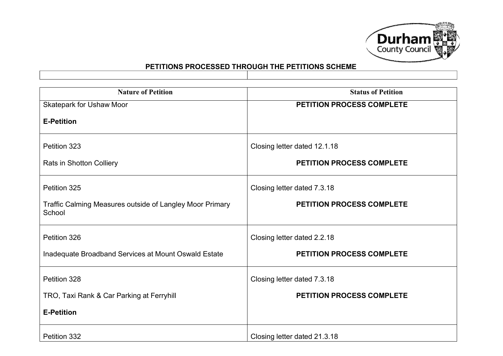

| <b>Nature of Petition</b>                                          | <b>Status of Petition</b>        |
|--------------------------------------------------------------------|----------------------------------|
| Skatepark for Ushaw Moor                                           | PETITION PROCESS COMPLETE        |
| <b>E-Petition</b>                                                  |                                  |
| Petition 323                                                       | Closing letter dated 12.1.18     |
| <b>Rats in Shotton Colliery</b>                                    | <b>PETITION PROCESS COMPLETE</b> |
| Petition 325                                                       | Closing letter dated 7.3.18      |
| Traffic Calming Measures outside of Langley Moor Primary<br>School | <b>PETITION PROCESS COMPLETE</b> |
| Petition 326                                                       | Closing letter dated 2.2.18      |
| Inadequate Broadband Services at Mount Oswald Estate               | <b>PETITION PROCESS COMPLETE</b> |
| Petition 328                                                       | Closing letter dated 7.3.18      |
| TRO, Taxi Rank & Car Parking at Ferryhill                          | <b>PETITION PROCESS COMPLETE</b> |
| <b>E-Petition</b>                                                  |                                  |
| Petition 332                                                       | Closing letter dated 21.3.18     |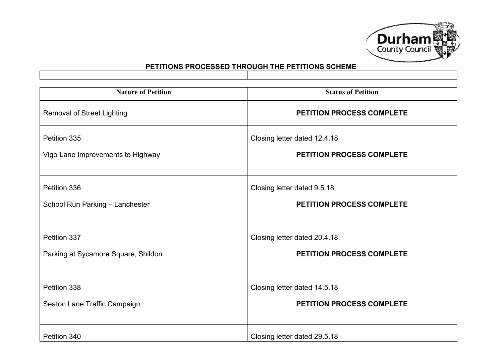

| <b>Nature of Petition</b>           | <b>Status of Petition</b>        |
|-------------------------------------|----------------------------------|
| <b>Removal of Street Lighting</b>   | PETITION PROCESS COMPLETE        |
| Petition 335                        | Closing letter dated 12.4.18     |
| Vigo Lane Improvements to Highway   | <b>PETITION PROCESS COMPLETE</b> |
| Petition 336                        | Closing letter dated 9.5.18      |
| School Run Parking - Lanchester     | <b>PETITION PROCESS COMPLETE</b> |
| Petition 337                        | Closing letter dated 20.4.18     |
| Parking at Sycamore Square, Shildon | PETITION PROCESS COMPLETE        |
| Petition 338                        | Closing letter dated 14.5.18     |
| Seaton Lane Traffic Campaign        | <b>PETITION PROCESS COMPLETE</b> |
| Petition 340                        | Closing letter dated 29.5.18     |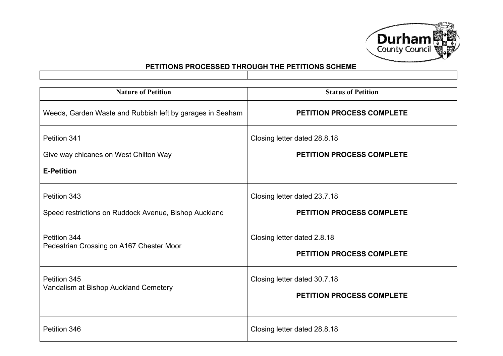

| <b>Nature of Petition</b>                                                  | <b>Status of Petition</b>                                        |
|----------------------------------------------------------------------------|------------------------------------------------------------------|
| Weeds, Garden Waste and Rubbish left by garages in Seaham                  | PETITION PROCESS COMPLETE                                        |
| Petition 341<br>Give way chicanes on West Chilton Way<br><b>E-Petition</b> | Closing letter dated 28.8.18<br><b>PETITION PROCESS COMPLETE</b> |
| Petition 343<br>Speed restrictions on Ruddock Avenue, Bishop Auckland      | Closing letter dated 23.7.18<br><b>PETITION PROCESS COMPLETE</b> |
| Petition 344<br>Pedestrian Crossing on A167 Chester Moor                   | Closing letter dated 2.8.18<br><b>PETITION PROCESS COMPLETE</b>  |
| Petition 345<br>Vandalism at Bishop Auckland Cemetery                      | Closing letter dated 30.7.18<br><b>PETITION PROCESS COMPLETE</b> |
| Petition 346                                                               | Closing letter dated 28.8.18                                     |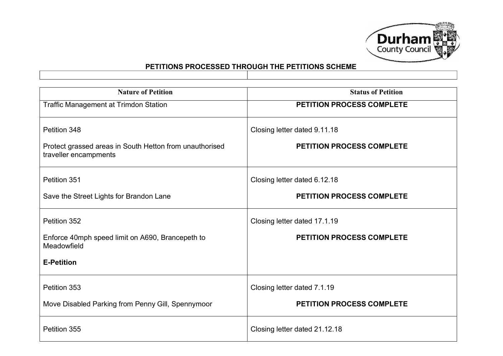

| <b>Nature of Petition</b>                                                                        | <b>Status of Petition</b>                                        |
|--------------------------------------------------------------------------------------------------|------------------------------------------------------------------|
| <b>Traffic Management at Trimdon Station</b>                                                     | <b>PETITION PROCESS COMPLETE</b>                                 |
| Petition 348<br>Protect grassed areas in South Hetton from unauthorised<br>traveller encampments | Closing letter dated 9.11.18<br><b>PETITION PROCESS COMPLETE</b> |
| Petition 351                                                                                     | Closing letter dated 6.12.18                                     |
| Save the Street Lights for Brandon Lane                                                          | <b>PETITION PROCESS COMPLETE</b>                                 |
| Petition 352                                                                                     | Closing letter dated 17.1.19                                     |
| Enforce 40mph speed limit on A690, Brancepeth to<br>Meadowfield                                  | <b>PETITION PROCESS COMPLETE</b>                                 |
| <b>E-Petition</b>                                                                                |                                                                  |
| Petition 353                                                                                     | Closing letter dated 7.1.19                                      |
| Move Disabled Parking from Penny Gill, Spennymoor                                                | <b>PETITION PROCESS COMPLETE</b>                                 |
| Petition 355                                                                                     | Closing letter dated 21.12.18                                    |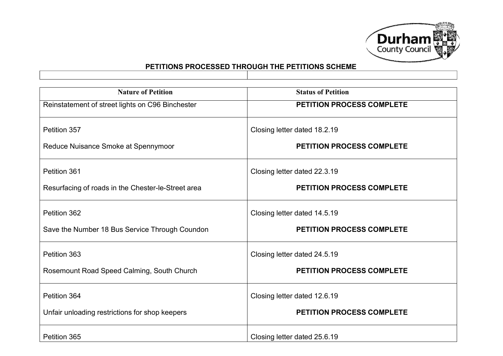

| <b>Nature of Petition</b>                          | <b>Status of Petition</b>        |
|----------------------------------------------------|----------------------------------|
| Reinstatement of street lights on C96 Binchester   | PETITION PROCESS COMPLETE        |
| Petition 357                                       | Closing letter dated 18.2.19     |
| Reduce Nuisance Smoke at Spennymoor                | <b>PETITION PROCESS COMPLETE</b> |
| Petition 361                                       | Closing letter dated 22.3.19     |
| Resurfacing of roads in the Chester-le-Street area | <b>PETITION PROCESS COMPLETE</b> |
| Petition 362                                       | Closing letter dated 14.5.19     |
| Save the Number 18 Bus Service Through Coundon     | <b>PETITION PROCESS COMPLETE</b> |
| Petition 363                                       | Closing letter dated 24.5.19     |
| Rosemount Road Speed Calming, South Church         | <b>PETITION PROCESS COMPLETE</b> |
| Petition 364                                       | Closing letter dated 12.6.19     |
| Unfair unloading restrictions for shop keepers     | <b>PETITION PROCESS COMPLETE</b> |
| Petition 365                                       | Closing letter dated 25.6.19     |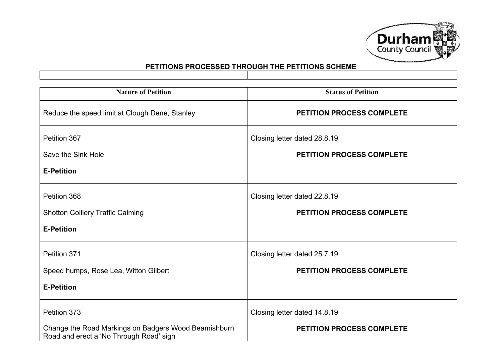

| <b>Nature of Petition</b>                                                                       | <b>Status of Petition</b>        |
|-------------------------------------------------------------------------------------------------|----------------------------------|
| Reduce the speed limit at Clough Dene, Stanley                                                  | <b>PETITION PROCESS COMPLETE</b> |
| Petition 367                                                                                    | Closing letter dated 28.8.19     |
| Save the Sink Hole                                                                              | <b>PETITION PROCESS COMPLETE</b> |
| <b>E-Petition</b>                                                                               |                                  |
| Petition 368                                                                                    | Closing letter dated 22.8.19     |
| <b>Shotton Colliery Traffic Calming</b>                                                         | <b>PETITION PROCESS COMPLETE</b> |
| <b>E-Petition</b>                                                                               |                                  |
| Petition 371                                                                                    | Closing letter dated 25.7.19     |
| Speed humps, Rose Lea, Witton Gilbert                                                           | PETITION PROCESS COMPLETE        |
| <b>E-Petition</b>                                                                               |                                  |
| Petition 373                                                                                    | Closing letter dated 14.8.19     |
| Change the Road Markings on Badgers Wood Beamishburn<br>Road and erect a 'No Through Road' sign | <b>PETITION PROCESS COMPLETE</b> |